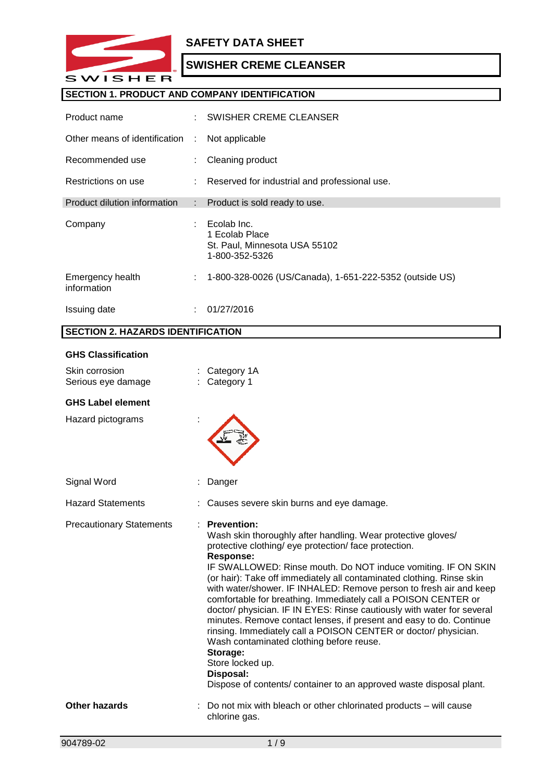

## **SECTION 1. PRODUCT AND COMPANY IDENTIFICATION**

| Product name                    |                           | SWISHER CREME CLEANSER                                                           |
|---------------------------------|---------------------------|----------------------------------------------------------------------------------|
| Other means of identification   | ÷.                        | Not applicable                                                                   |
| Recommended use                 |                           | Cleaning product                                                                 |
| Restrictions on use             | t in                      | Reserved for industrial and professional use.                                    |
| Product dilution information    | $\mathbb{R}^{\mathbb{Z}}$ | Product is sold ready to use.                                                    |
| Company                         |                           | Ecolab Inc.<br>1 Ecolab Place<br>St. Paul, Minnesota USA 55102<br>1-800-352-5326 |
| Emergency health<br>information | ÷.                        | 1-800-328-0026 (US/Canada), 1-651-222-5352 (outside US)                          |
| Issuing date                    |                           | 01/27/2016                                                                       |

## **SECTION 2. HAZARDS IDENTIFICATION**

#### **GHS Classification**

| Skin corrosion<br>Serious eye damage | Category 1A<br>Category 1                                                                                                                                                                                                                                                                                                                                                                                                                                                                                                                                                                                                                                                                                                                                                                                                             |
|--------------------------------------|---------------------------------------------------------------------------------------------------------------------------------------------------------------------------------------------------------------------------------------------------------------------------------------------------------------------------------------------------------------------------------------------------------------------------------------------------------------------------------------------------------------------------------------------------------------------------------------------------------------------------------------------------------------------------------------------------------------------------------------------------------------------------------------------------------------------------------------|
| <b>GHS Label element</b>             |                                                                                                                                                                                                                                                                                                                                                                                                                                                                                                                                                                                                                                                                                                                                                                                                                                       |
| Hazard pictograms                    |                                                                                                                                                                                                                                                                                                                                                                                                                                                                                                                                                                                                                                                                                                                                                                                                                                       |
| Signal Word                          | Danger                                                                                                                                                                                                                                                                                                                                                                                                                                                                                                                                                                                                                                                                                                                                                                                                                                |
| <b>Hazard Statements</b>             | Causes severe skin burns and eye damage.                                                                                                                                                                                                                                                                                                                                                                                                                                                                                                                                                                                                                                                                                                                                                                                              |
| <b>Precautionary Statements</b>      | <b>Prevention:</b><br>Wash skin thoroughly after handling. Wear protective gloves/<br>protective clothing/ eye protection/ face protection.<br><b>Response:</b><br>IF SWALLOWED: Rinse mouth. Do NOT induce vomiting. IF ON SKIN<br>(or hair): Take off immediately all contaminated clothing. Rinse skin<br>with water/shower. IF INHALED: Remove person to fresh air and keep<br>comfortable for breathing. Immediately call a POISON CENTER or<br>doctor/ physician. IF IN EYES: Rinse cautiously with water for several<br>minutes. Remove contact lenses, if present and easy to do. Continue<br>rinsing. Immediately call a POISON CENTER or doctor/ physician.<br>Wash contaminated clothing before reuse.<br>Storage:<br>Store locked up.<br>Disposal:<br>Dispose of contents/ container to an approved waste disposal plant. |
| <b>Other hazards</b>                 | Do not mix with bleach or other chlorinated products - will cause<br>chlorine gas.                                                                                                                                                                                                                                                                                                                                                                                                                                                                                                                                                                                                                                                                                                                                                    |
| 904789-02                            | 1/9                                                                                                                                                                                                                                                                                                                                                                                                                                                                                                                                                                                                                                                                                                                                                                                                                                   |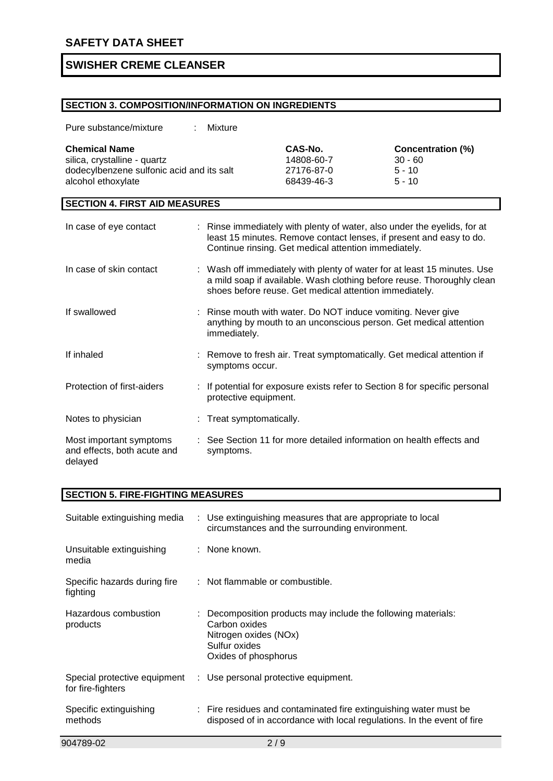## **SECTION 3. COMPOSITION/INFORMATION ON INGREDIENTS**

| Pure substance/mixture                                                                                                  | Mixture                  |                                                                                                                                                                                                              |                                                               |
|-------------------------------------------------------------------------------------------------------------------------|--------------------------|--------------------------------------------------------------------------------------------------------------------------------------------------------------------------------------------------------------|---------------------------------------------------------------|
| <b>Chemical Name</b><br>silica, crystalline - quartz<br>dodecylbenzene sulfonic acid and its salt<br>alcohol ethoxylate |                          | CAS-No.<br>14808-60-7<br>27176-87-0<br>68439-46-3                                                                                                                                                            | <b>Concentration (%)</b><br>$30 - 60$<br>$5 - 10$<br>$5 - 10$ |
| <b>SECTION 4. FIRST AID MEASURES</b>                                                                                    |                          |                                                                                                                                                                                                              |                                                               |
| In case of eye contact                                                                                                  |                          | : Rinse immediately with plenty of water, also under the eyelids, for at<br>least 15 minutes. Remove contact lenses, if present and easy to do.<br>Continue rinsing. Get medical attention immediately.      |                                                               |
| In case of skin contact                                                                                                 |                          | : Wash off immediately with plenty of water for at least 15 minutes. Use<br>a mild soap if available. Wash clothing before reuse. Thoroughly clean<br>shoes before reuse. Get medical attention immediately. |                                                               |
| If swallowed                                                                                                            | immediately.             | Rinse mouth with water. Do NOT induce vomiting. Never give<br>anything by mouth to an unconscious person. Get medical attention                                                                              |                                                               |
| If inhaled                                                                                                              | symptoms occur.          | : Remove to fresh air. Treat symptomatically. Get medical attention if                                                                                                                                       |                                                               |
| Protection of first-aiders                                                                                              | protective equipment.    | If potential for exposure exists refer to Section 8 for specific personal                                                                                                                                    |                                                               |
| Notes to physician                                                                                                      | : Treat symptomatically. |                                                                                                                                                                                                              |                                                               |
| Most important symptoms<br>and effects, both acute and<br>delayed                                                       | symptoms.                | See Section 11 for more detailed information on health effects and                                                                                                                                           |                                                               |

# **SECTION 5. FIRE-FIGHTING MEASURES**

| Suitable extinguishing media                      | : Use extinguishing measures that are appropriate to local<br>circumstances and the surrounding environment.                                     |
|---------------------------------------------------|--------------------------------------------------------------------------------------------------------------------------------------------------|
| Unsuitable extinguishing<br>media                 | : None known.                                                                                                                                    |
| Specific hazards during fire<br>fighting          | : Not flammable or combustible.                                                                                                                  |
| Hazardous combustion<br>products                  | : Decomposition products may include the following materials:<br>Carbon oxides<br>Nitrogen oxides (NOx)<br>Sulfur oxides<br>Oxides of phosphorus |
| Special protective equipment<br>for fire-fighters | : Use personal protective equipment.                                                                                                             |
| Specific extinguishing<br>methods                 | : Fire residues and contaminated fire extinguishing water must be<br>disposed of in accordance with local regulations. In the event of fire      |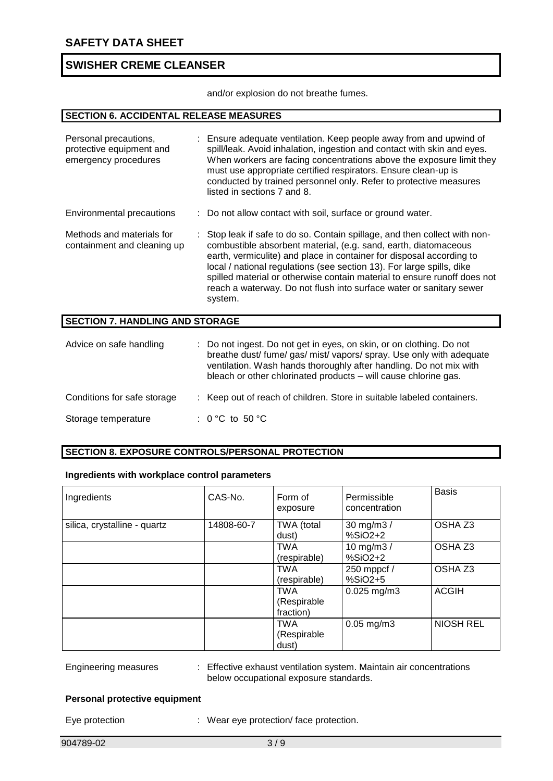and/or explosion do not breathe fumes.

#### **SECTION 6. ACCIDENTAL RELEASE MEASURES**

| Personal precautions,<br>protective equipment and<br>emergency procedures | : Ensure adequate ventilation. Keep people away from and upwind of<br>spill/leak. Avoid inhalation, ingestion and contact with skin and eyes.<br>When workers are facing concentrations above the exposure limit they<br>must use appropriate certified respirators. Ensure clean-up is<br>conducted by trained personnel only. Refer to protective measures<br>listed in sections 7 and 8.                                                                  |  |
|---------------------------------------------------------------------------|--------------------------------------------------------------------------------------------------------------------------------------------------------------------------------------------------------------------------------------------------------------------------------------------------------------------------------------------------------------------------------------------------------------------------------------------------------------|--|
| Environmental precautions                                                 | : Do not allow contact with soil, surface or ground water.                                                                                                                                                                                                                                                                                                                                                                                                   |  |
| Methods and materials for<br>containment and cleaning up                  | : Stop leak if safe to do so. Contain spillage, and then collect with non-<br>combustible absorbent material, (e.g. sand, earth, diatomaceous<br>earth, vermiculite) and place in container for disposal according to<br>local / national regulations (see section 13). For large spills, dike<br>spilled material or otherwise contain material to ensure runoff does not<br>reach a waterway. Do not flush into surface water or sanitary sewer<br>system. |  |

## **SECTION 7. HANDLING AND STORAGE**

| Advice on safe handling     | : Do not ingest. Do not get in eyes, on skin, or on clothing. Do not<br>breathe dust/ fume/ gas/ mist/ vapors/ spray. Use only with adequate<br>ventilation. Wash hands thoroughly after handling. Do not mix with<br>bleach or other chlorinated products - will cause chlorine gas. |
|-----------------------------|---------------------------------------------------------------------------------------------------------------------------------------------------------------------------------------------------------------------------------------------------------------------------------------|
| Conditions for safe storage | : Keep out of reach of children. Store in suitable labeled containers.                                                                                                                                                                                                                |
| Storage temperature         | : 0 °C to 50 °C                                                                                                                                                                                                                                                                       |

## **SECTION 8. EXPOSURE CONTROLS/PERSONAL PROTECTION**

## **Ingredients with workplace control parameters**

| Ingredients                  | CAS-No.    | Form of<br>exposure                    | Permissible<br>concentration | <b>Basis</b>       |
|------------------------------|------------|----------------------------------------|------------------------------|--------------------|
| silica, crystalline - quartz | 14808-60-7 | TWA (total<br>dust)                    | 30 mg/m3 /<br>$%SiO2+2$      | OSHA <sub>Z3</sub> |
|                              |            | <b>TWA</b><br>(respirable)             | 10 mg/m $3/$<br>%SiO2+2      | OSHA <sub>Z3</sub> |
|                              |            | <b>TWA</b><br>(respirable)             | 250 mppcf /<br>%SiO2+5       | OSHA <sub>Z3</sub> |
|                              |            | <b>TWA</b><br>(Respirable<br>fraction) | $0.025$ mg/m3                | <b>ACGIH</b>       |
|                              |            | <b>TWA</b><br>(Respirable<br>dust)     | $0.05$ mg/m $3$              | <b>NIOSH REL</b>   |

Engineering measures : Effective exhaust ventilation system. Maintain air concentrations below occupational exposure standards.

## **Personal protective equipment**

Eye protection : Wear eye protection/ face protection.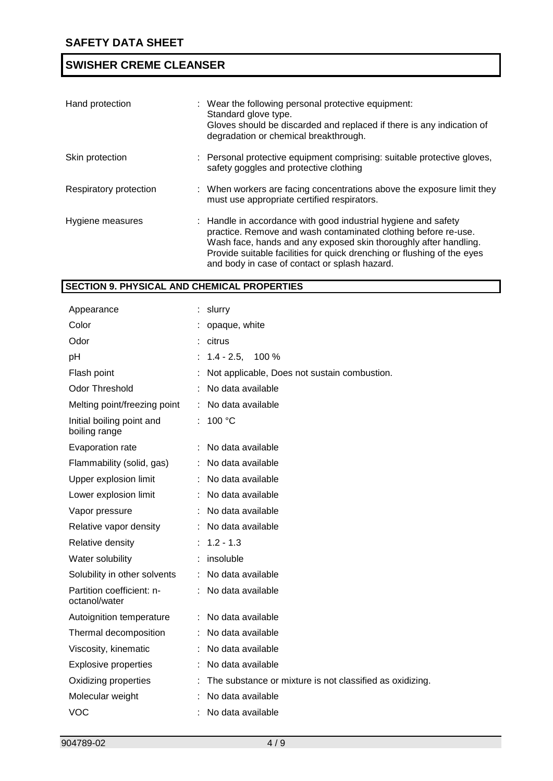| Hand protection        | : Wear the following personal protective equipment:<br>Standard glove type.<br>Gloves should be discarded and replaced if there is any indication of<br>degradation or chemical breakthrough.                                                                                                                                    |
|------------------------|----------------------------------------------------------------------------------------------------------------------------------------------------------------------------------------------------------------------------------------------------------------------------------------------------------------------------------|
| Skin protection        | : Personal protective equipment comprising: suitable protective gloves,<br>safety goggles and protective clothing                                                                                                                                                                                                                |
| Respiratory protection | : When workers are facing concentrations above the exposure limit they<br>must use appropriate certified respirators.                                                                                                                                                                                                            |
| Hygiene measures       | : Handle in accordance with good industrial hygiene and safety<br>practice. Remove and wash contaminated clothing before re-use.<br>Wash face, hands and any exposed skin thoroughly after handling.<br>Provide suitable facilities for quick drenching or flushing of the eyes<br>and body in case of contact or splash hazard. |

## **SECTION 9. PHYSICAL AND CHEMICAL PROPERTIES**

| Appearance                                 |    | slurry                                                   |
|--------------------------------------------|----|----------------------------------------------------------|
| Color                                      |    | opaque, white                                            |
| Odor                                       |    | citrus                                                   |
| рH                                         |    | $1.4 - 2.5$ , 100 %                                      |
| Flash point                                |    | Not applicable, Does not sustain combustion.             |
| <b>Odor Threshold</b>                      | ÷. | No data available                                        |
| Melting point/freezing point               | ÷. | No data available                                        |
| Initial boiling point and<br>boiling range |    | : 100 °C                                                 |
| Evaporation rate                           |    | : No data available                                      |
| Flammability (solid, gas)                  |    | : No data available                                      |
| Upper explosion limit                      |    | : No data available                                      |
| Lower explosion limit                      |    | : No data available                                      |
| Vapor pressure                             | ÷. | No data available                                        |
| Relative vapor density                     |    | : No data available                                      |
| Relative density                           |    | $: 1.2 - 1.3$                                            |
| Water solubility                           |    | : insoluble                                              |
| Solubility in other solvents               |    | : No data available                                      |
| Partition coefficient: n-<br>octanol/water |    | : No data available                                      |
| Autoignition temperature                   |    | : No data available                                      |
| Thermal decomposition                      |    | : No data available                                      |
| Viscosity, kinematic                       |    | : No data available                                      |
| <b>Explosive properties</b>                |    | : No data available                                      |
| Oxidizing properties                       |    | The substance or mixture is not classified as oxidizing. |
| Molecular weight                           |    | No data available                                        |
| VOC                                        |    | : No data available                                      |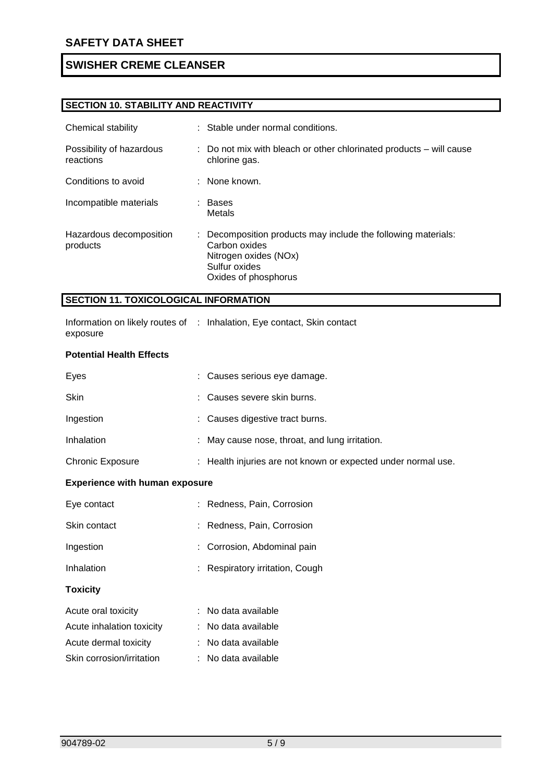## **SECTION 10. STABILITY AND REACTIVITY**

| Chemical stability                    | : Stable under normal conditions.                                                                                                                |  |
|---------------------------------------|--------------------------------------------------------------------------------------------------------------------------------------------------|--|
| Possibility of hazardous<br>reactions | $\therefore$ Do not mix with bleach or other chlorinated products $-$ will cause<br>chlorine gas.                                                |  |
| Conditions to avoid                   | : None known.                                                                                                                                    |  |
| Incompatible materials                | : Bases<br>Metals                                                                                                                                |  |
| Hazardous decomposition<br>products   | : Decomposition products may include the following materials:<br>Carbon oxides<br>Nitrogen oxides (NOx)<br>Sulfur oxides<br>Oxides of phosphorus |  |

## **SECTION 11. TOXICOLOGICAL INFORMATION**

|          | Information on likely routes of : Inhalation, Eye contact, Skin contact |
|----------|-------------------------------------------------------------------------|
| exposure |                                                                         |

## **Potential Health Effects**

| Eyes                    | : Causes serious eye damage.                                  |
|-------------------------|---------------------------------------------------------------|
| <b>Skin</b>             | : Causes severe skin burns.                                   |
| Ingestion               | : Causes digestive tract burns.                               |
| Inhalation              | : May cause nose, throat, and lung irritation.                |
| <b>Chronic Exposure</b> | : Health injuries are not known or expected under normal use. |

#### **Experience with human exposure**

| Eye contact               | : Redness, Pain, Corrosion      |
|---------------------------|---------------------------------|
| Skin contact              | : Redness, Pain, Corrosion      |
| Ingestion                 | : Corrosion, Abdominal pain     |
| Inhalation                | : Respiratory irritation, Cough |
| <b>Toxicity</b>           |                                 |
| Acute oral toxicity       | : No data available             |
| Acute inhalation toxicity | $:$ No data available           |
| Acute dermal toxicity     | : No data available             |
| Skin corrosion/irritation | : No data available             |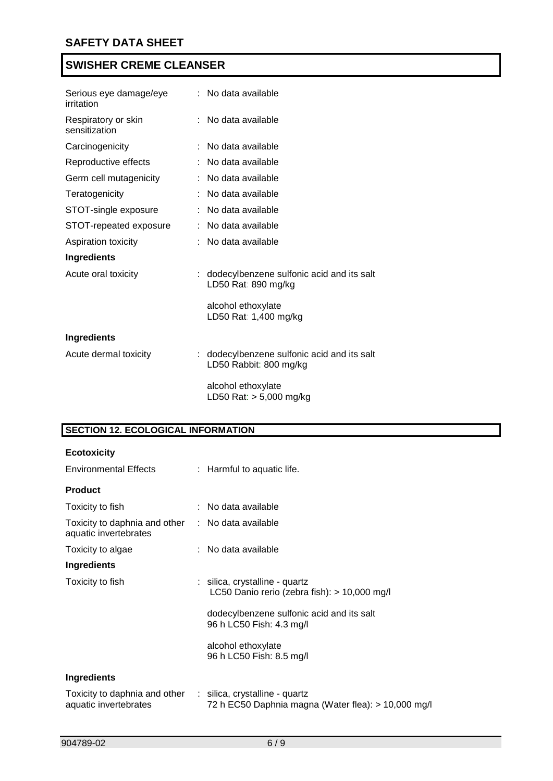| Serious eye damage/eye<br>irritation | : No data available                                                   |
|--------------------------------------|-----------------------------------------------------------------------|
| Respiratory or skin<br>sensitization | : No data available                                                   |
| Carcinogenicity                      | No data available                                                     |
| Reproductive effects                 | : No data available                                                   |
| Germ cell mutagenicity               | No data available                                                     |
| Teratogenicity                       | No data available                                                     |
| STOT-single exposure                 | : No data available                                                   |
| STOT-repeated exposure               | No data available                                                     |
| Aspiration toxicity                  | No data available                                                     |
| <b>Ingredients</b>                   |                                                                       |
| Acute oral toxicity                  | : dodecylbenzene sulfonic acid and its salt<br>LD50 Rat: 890 mg/kg    |
|                                      | alcohol ethoxylate<br>LD50 Rat: 1,400 mg/kg                           |
| <b>Ingredients</b>                   |                                                                       |
| Acute dermal toxicity                | : dodecylbenzene sulfonic acid and its salt<br>LD50 Rabbit: 800 mg/kg |
|                                      | alcohol ethoxylate<br>LD50 Rat: > 5,000 mg/kg                         |

# **SECTION 12. ECOLOGICAL INFORMATION**

| <b>Ecotoxicity</b>                                                                    |                                                                                |
|---------------------------------------------------------------------------------------|--------------------------------------------------------------------------------|
| <b>Environmental Effects</b>                                                          | $:$ Harmful to aquatic life.                                                   |
| <b>Product</b>                                                                        |                                                                                |
| Toxicity to fish                                                                      | : No data available                                                            |
| Toxicity to daphnia and other<br>aquatic invertebrates                                | : No data available                                                            |
| Toxicity to algae                                                                     | : No data available                                                            |
| <b>Ingredients</b>                                                                    |                                                                                |
| Toxicity to fish                                                                      | : silica, crystalline - quartz<br>LC50 Danio rerio (zebra fish): > 10,000 mg/l |
|                                                                                       | dodecylbenzene sulfonic acid and its salt<br>96 h LC50 Fish: 4.3 mg/l          |
|                                                                                       | alcohol ethoxylate<br>96 h LC50 Fish: 8.5 mg/l                                 |
| Ingredients                                                                           |                                                                                |
| Toxicity to daphnia and other : silica, crystalline - quartz<br>aquatic invertebrates | 72 h EC50 Daphnia magna (Water flea): > 10,000 mg/l                            |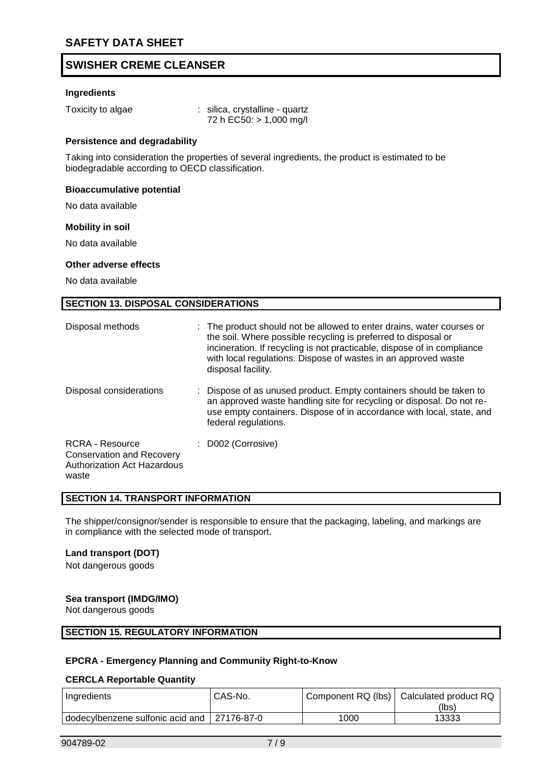#### **Ingredients**

Toxicity to algae : silica, crystalline - quartz 72 h EC50: > 1,000 mg/l

#### **Persistence and degradability**

Taking into consideration the properties of several ingredients, the product is estimated to be biodegradable according to OECD classification.

#### **Bioaccumulative potential**

No data available

#### **Mobility in soil**

No data available

#### **Other adverse effects**

No data available

#### **SECTION 13. DISPOSAL CONSIDERATIONS**

| Disposal methods                                                                            | : The product should not be allowed to enter drains, water courses or<br>the soil. Where possible recycling is preferred to disposal or<br>incineration. If recycling is not practicable, dispose of in compliance<br>with local regulations. Dispose of wastes in an approved waste<br>disposal facility. |
|---------------------------------------------------------------------------------------------|------------------------------------------------------------------------------------------------------------------------------------------------------------------------------------------------------------------------------------------------------------------------------------------------------------|
| Disposal considerations                                                                     | : Dispose of as unused product. Empty containers should be taken to<br>an approved waste handling site for recycling or disposal. Do not re-<br>use empty containers. Dispose of in accordance with local, state, and<br>federal regulations.                                                              |
| RCRA - Resource<br><b>Conservation and Recovery</b><br>Authorization Act Hazardous<br>waste | : D002 (Corrosive)                                                                                                                                                                                                                                                                                         |

#### **SECTION 14. TRANSPORT INFORMATION**

The shipper/consignor/sender is responsible to ensure that the packaging, labeling, and markings are in compliance with the selected mode of transport.

#### **Land transport (DOT)**

Not dangerous goods

#### **Sea transport (IMDG/IMO)**

Not dangerous goods

## **SECTION 15. REGULATORY INFORMATION**

#### **EPCRA - Emergency Planning and Community Right-to-Know**

#### **CERCLA Reportable Quantity**

| Ingredients                        | CAS-No.    |      | Component RQ (lbs)   Calculated product RQ |
|------------------------------------|------------|------|--------------------------------------------|
|                                    |            |      | (lbs)                                      |
| dodecylbenzene sulfonic acid and 1 | 27176-87-0 | 1000 | 13333                                      |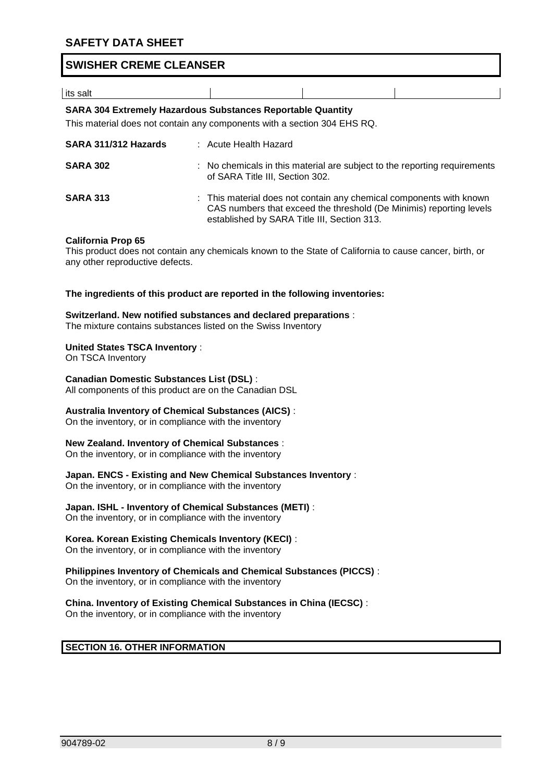| its<br>salt |  |  |
|-------------|--|--|
|             |  |  |

#### **SARA 304 Extremely Hazardous Substances Reportable Quantity**

This material does not contain any components with a section 304 EHS RQ.

| SARA 311/312 Hazards | : Acute Health Hazard                                                                                                                                                                     |
|----------------------|-------------------------------------------------------------------------------------------------------------------------------------------------------------------------------------------|
| <b>SARA 302</b>      | : No chemicals in this material are subject to the reporting requirements<br>of SARA Title III, Section 302.                                                                              |
| <b>SARA 313</b>      | : This material does not contain any chemical components with known<br>CAS numbers that exceed the threshold (De Minimis) reporting levels<br>established by SARA Title III, Section 313. |

#### **California Prop 65**

This product does not contain any chemicals known to the State of California to cause cancer, birth, or any other reproductive defects.

**The ingredients of this product are reported in the following inventories:**

**Switzerland. New notified substances and declared preparations** : The mixture contains substances listed on the Swiss Inventory

#### **United States TSCA Inventory** :

On TSCA Inventory

**Canadian Domestic Substances List (DSL)** :

All components of this product are on the Canadian DSL

#### **Australia Inventory of Chemical Substances (AICS)** :

On the inventory, or in compliance with the inventory

#### **New Zealand. Inventory of Chemical Substances** :

On the inventory, or in compliance with the inventory

#### **Japan. ENCS - Existing and New Chemical Substances Inventory** :

On the inventory, or in compliance with the inventory

#### **Japan. ISHL - Inventory of Chemical Substances (METI)** :

On the inventory, or in compliance with the inventory

#### **Korea. Korean Existing Chemicals Inventory (KECI)** :

On the inventory, or in compliance with the inventory

# **Philippines Inventory of Chemicals and Chemical Substances (PICCS)** :

On the inventory, or in compliance with the inventory

## **China. Inventory of Existing Chemical Substances in China (IECSC)** :

On the inventory, or in compliance with the inventory

## **SECTION 16. OTHER INFORMATION**